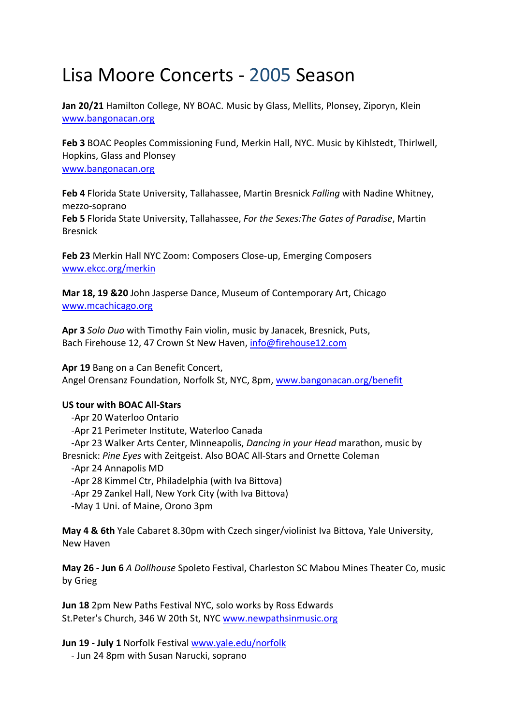## Lisa Moore Concerts ‐ 2005 Season

**Jan 20/21** Hamilton College, NY BOAC. Music by Glass, Mellits, Plonsey, Ziporyn, Klein www.bangonacan.org

**Feb 3** BOAC Peoples Commissioning Fund, Merkin Hall, NYC. Music by Kihlstedt, Thirlwell, Hopkins, Glass and Plonsey www.bangonacan.org

**Feb 4** Florida State University, Tallahassee, Martin Bresnick *Falling* with Nadine Whitney, mezzo‐soprano **Feb 5** Florida State University, Tallahassee, *For the Sexes:The Gates of Paradise*, Martin Bresnick

**Feb 23** Merkin Hall NYC Zoom: Composers Close‐up, Emerging Composers www.ekcc.org/merkin

**Mar 18, 19 &20** John Jasperse Dance, Museum of Contemporary Art, Chicago www.mcachicago.org

**Apr 3** *Solo Duo* with Timothy Fain violin, music by Janacek, Bresnick, Puts, Bach Firehouse 12, 47 Crown St New Haven, info@firehouse12.com

**Apr 19** Bang on a Can Benefit Concert, Angel Orensanz Foundation, Norfolk St, NYC, 8pm, www.bangonacan.org/benefit

## **US tour with BOAC All‐Stars**

 ‐Apr 20 Waterloo Ontario ‐Apr 21 Perimeter Institute, Waterloo Canada ‐Apr 23 Walker Arts Center, Minneapolis, *Dancing in your Head* marathon, music by Bresnick: *Pine Eyes* with Zeitgeist. Also BOAC All‐Stars and Ornette Coleman ‐Apr 24 Annapolis MD ‐Apr 28 Kimmel Ctr, Philadelphia (with Iva Bittova) ‐Apr 29 Zankel Hall, New York City (with Iva Bittova) ‐May 1 Uni. of Maine, Orono 3pm

**May 4 & 6th** Yale Cabaret 8.30pm with Czech singer/violinist Iva Bittova, Yale University, New Haven

**May 26 ‐ Jun 6** *A Dollhouse* Spoleto Festival, Charleston SC Mabou Mines Theater Co, music by Grieg

**Jun 18** 2pm New Paths Festival NYC, solo works by Ross Edwards St.Peter's Church, 346 W 20th St, NYC www.newpathsinmusic.org

**Jun 19 ‐ July 1** Norfolk Festival www.yale.edu/norfolk

‐ Jun 24 8pm with Susan Narucki, soprano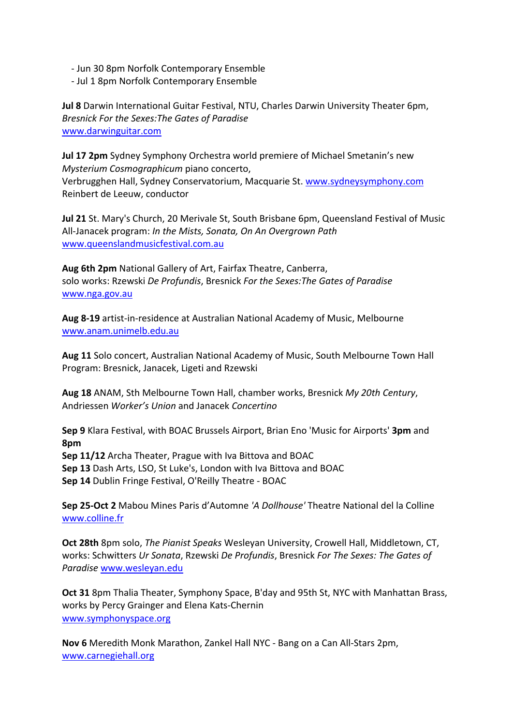- ‐ Jun 30 8pm Norfolk Contemporary Ensemble
- ‐ Jul 1 8pm Norfolk Contemporary Ensemble

**Jul 8** Darwin International Guitar Festival, NTU, Charles Darwin University Theater 6pm, *Bresnick For the Sexes:The Gates of Paradise* www.darwinguitar.com

**Jul 17 2pm** Sydney Symphony Orchestra world premiere of Michael Smetanin's new *Mysterium Cosmographicum* piano concerto, Verbrugghen Hall, Sydney Conservatorium, Macquarie St. www.sydneysymphony.com Reinbert de Leeuw, conductor

**Jul 21** St. Mary's Church, 20 Merivale St, South Brisbane 6pm, Queensland Festival of Music All‐Janacek program: *In the Mists, Sonata, On An Overgrown Path* www.queenslandmusicfestival.com.au

**Aug 6th 2pm** National Gallery of Art, Fairfax Theatre, Canberra, solo works: Rzewski *De Profundis*, Bresnick *For the Sexes:The Gates of Paradise* www.nga.gov.au

**Aug 8‐19** artist‐in‐residence at Australian National Academy of Music, Melbourne www.anam.unimelb.edu.au

**Aug 11** Solo concert, Australian National Academy of Music, South Melbourne Town Hall Program: Bresnick, Janacek, Ligeti and Rzewski

**Aug 18** ANAM, Sth Melbourne Town Hall, chamber works, Bresnick *My 20th Century*, Andriessen *Worker's Union* and Janacek *Concertino*

**Sep 9** Klara Festival, with BOAC Brussels Airport, Brian Eno 'Music for Airports' **3pm** and **8pm Sep 11/12** Archa Theater, Prague with Iva Bittova and BOAC **Sep 13** Dash Arts, LSO, St Luke's, London with Iva Bittova and BOAC **Sep 14** Dublin Fringe Festival, O'Reilly Theatre ‐ BOAC

**Sep 25‐Oct 2** Mabou Mines Paris d'Automne *'A Dollhouse'* Theatre National del la Colline www.colline.fr

**Oct 28th** 8pm solo, *The Pianist Speaks* Wesleyan University, Crowell Hall, Middletown, CT, works: Schwitters *Ur Sonata*, Rzewski *De Profundis*, Bresnick *For The Sexes: The Gates of Paradise* www.wesleyan.edu

**Oct 31** 8pm Thalia Theater, Symphony Space, B'day and 95th St, NYC with Manhattan Brass, works by Percy Grainger and Elena Kats‐Chernin www.symphonyspace.org

**Nov 6** Meredith Monk Marathon, Zankel Hall NYC ‐ Bang on a Can All‐Stars 2pm, www.carnegiehall.org